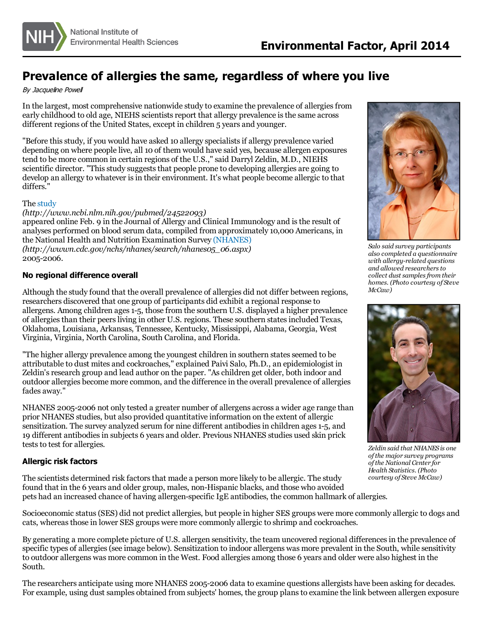

## **Prevalence of allergies the same, regardless of where you live**

By Jacqueline Powell

In the largest, most comprehensive nationwide study to examine the prevalence of allergiesfrom early childhood to old age, NIEHS scientists report that allergy prevalence is the same across different regions of the United States, except in children 5 years and younger.

"Before this study, if you would have asked 10 allergy specialists if allergy prevalence varied depending on where people live, all 10 of them would have said yes, because allergen exposures tend to be more common in certain regions of the U.S.," said Darryl Zeldin, M.D., NIEHS scientific director. "This study suggests that people prone to developing allergies are going to develop an allergy to whatever is in their environment. It's what people become allergic to that differs."

## The [study](http://www.ncbi.nlm.nih.gov/pubmed/24522093)

*(http://www.ncbi.nlm.nih.gov/pubmed/24522093)*

appeared online Feb. 9 in the Journal of Allergy and Clinical Immunology and isthe result of analyses performed on blood serum data, compiled from approximately 10,000 Americans, in the National Health and Nutrition Examination Survey [\(NHANES\)](http://wwwn.cdc.gov/nchs/nhanes/search/nhanes05_06.aspx) *(http://wwwn.cdc.gov/nchs/nhanes/search/nhanes05\_06.aspx)* 2005-2006.

## **No regional difference overall**

Although the study found that the overall prevalence of allergies did not differ between regions, researchers discovered that one group of participants did exhibit a regional response to allergens. Among children ages1-5, those from the southern U.S. displayed a higher prevalence of allergiesthan their peersliving in other U.S. regions. These southern statesincluded Texas, Oklahoma, Louisiana, Arkansas, Tennessee, Kentucky, Mississippi, Alabama, Georgia, West Virginia, Virginia, North Carolina, South Carolina, and Florida.

"The higher allergy prevalence among the youngest children in southern states seemed to be attributable to dust mites and cockroaches," explained Paivi Salo, Ph.D., an epidemiologist in Zeldin's research group and lead author on the paper. "As children get older, both indoor and outdoor allergies become more common, and the difference in the overall prevalence of allergies fades away."

NHANES 2005-2006 not only tested a greater number of allergens across a wider age range than prior NHANES studies, but also provided quantitative information on the extent of allergic sensitization. The survey analyzed serum for nine different antibodies in children ages 1-5, and 19 different antibodiesin subjects 6 years and older. Previous NHANES studies used skin prick tests to test for allergies.

## **Allergic risk factors**

The scientists determined risk factors that made a person more likely to be allergic. The study found that in the 6 years and older group, males, non-Hispanic blacks, and those who avoided pets had an increased chance of having allergen-specific IgE antibodies, the common hallmark of allergies.



*Salo said survey participants also completed a questionnaire with allergy-related questions and allowed researchersto collect dust samplesfrom their homes. (Photo courtesy of Steve McCaw)*



*Zeldin said that NHANES is one ofthe major survey programs ofthe National Center for Health Statistics. (Photo courtesy of Steve McCaw)*

Socioeconomic status(SES) did not predict allergies, but people in higher SES groups were more commonly allergic to dogs and cats, whereasthose in lower SES groups were more commonly allergic to shrimp and cockroaches.

By generating a more complete picture of U.S. allergen sensitivity, the team uncovered regional differences in the prevalence of specific types of allergies(see image below). Sensitization to indoor allergens was more prevalent in the South, while sensitivity to outdoor allergens was more common in the West. Food allergies among those 6 years and older were also highest in the South.

The researchers anticipate using more NHANES 2005-2006 data to examine questions allergists have been asking for decades. For example, using dust samples obtained from subjects' homes, the group plansto examine the link between allergen exposure